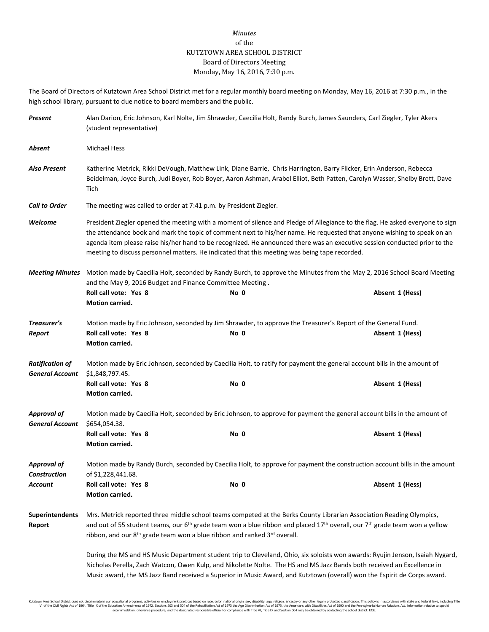## *Minutes* of the KUTZTOWN AREA SCHOOL DISTRICT Board of Directors Meeting Monday, May 16, 2016, 7:30 p.m.

The Board of Directors of Kutztown Area School District met for a regular monthly board meeting on Monday, May 16, 2016 at 7:30 p.m., in the high school library, pursuant to due notice to board members and the public.

| Present                                          | Alan Darion, Eric Johnson, Karl Nolte, Jim Shrawder, Caecilia Holt, Randy Burch, James Saunders, Carl Ziegler, Tyler Akers<br>(student representative)                                                                                                                                                                                                                                                                                                                                  |      |                 |  |  |  |
|--------------------------------------------------|-----------------------------------------------------------------------------------------------------------------------------------------------------------------------------------------------------------------------------------------------------------------------------------------------------------------------------------------------------------------------------------------------------------------------------------------------------------------------------------------|------|-----------------|--|--|--|
| Absent                                           | Michael Hess                                                                                                                                                                                                                                                                                                                                                                                                                                                                            |      |                 |  |  |  |
| <b>Also Present</b>                              | Katherine Metrick, Rikki DeVough, Matthew Link, Diane Barrie, Chris Harrington, Barry Flicker, Erin Anderson, Rebecca<br>Beidelman, Joyce Burch, Judi Boyer, Rob Boyer, Aaron Ashman, Arabel Elliot, Beth Patten, Carolyn Wasser, Shelby Brett, Dave<br>Tich                                                                                                                                                                                                                            |      |                 |  |  |  |
| <b>Call to Order</b>                             | The meeting was called to order at 7:41 p.m. by President Ziegler.                                                                                                                                                                                                                                                                                                                                                                                                                      |      |                 |  |  |  |
| Welcome                                          | President Ziegler opened the meeting with a moment of silence and Pledge of Allegiance to the flag. He asked everyone to sign<br>the attendance book and mark the topic of comment next to his/her name. He requested that anyone wishing to speak on an<br>agenda item please raise his/her hand to be recognized. He announced there was an executive session conducted prior to the<br>meeting to discuss personnel matters. He indicated that this meeting was being tape recorded. |      |                 |  |  |  |
| <b>Meeting Minutes</b>                           | Motion made by Caecilia Holt, seconded by Randy Burch, to approve the Minutes from the May 2, 2016 School Board Meeting<br>and the May 9, 2016 Budget and Finance Committee Meeting.                                                                                                                                                                                                                                                                                                    |      |                 |  |  |  |
|                                                  | Roll call vote: Yes 8<br><b>Motion carried.</b>                                                                                                                                                                                                                                                                                                                                                                                                                                         | No 0 | Absent 1 (Hess) |  |  |  |
| Treasurer's                                      | Motion made by Eric Johnson, seconded by Jim Shrawder, to approve the Treasurer's Report of the General Fund.                                                                                                                                                                                                                                                                                                                                                                           |      |                 |  |  |  |
| Report                                           | Roll call vote: Yes 8<br>Motion carried.                                                                                                                                                                                                                                                                                                                                                                                                                                                | No 0 | Absent 1 (Hess) |  |  |  |
| <b>Ratification of</b><br><b>General Account</b> | Motion made by Eric Johnson, seconded by Caecilia Holt, to ratify for payment the general account bills in the amount of<br>\$1,848,797.45.                                                                                                                                                                                                                                                                                                                                             |      |                 |  |  |  |
|                                                  | Roll call vote: Yes 8<br>Motion carried.                                                                                                                                                                                                                                                                                                                                                                                                                                                | No 0 | Absent 1 (Hess) |  |  |  |
| <b>Approval of</b><br><b>General Account</b>     | Motion made by Caecilia Holt, seconded by Eric Johnson, to approve for payment the general account bills in the amount of<br>\$654,054.38.                                                                                                                                                                                                                                                                                                                                              |      |                 |  |  |  |
|                                                  | Roll call vote: Yes 8<br><b>Motion carried.</b>                                                                                                                                                                                                                                                                                                                                                                                                                                         | No 0 | Absent 1 (Hess) |  |  |  |
| <b>Approval of</b><br><b>Construction</b>        | Motion made by Randy Burch, seconded by Caecilia Holt, to approve for payment the construction account bills in the amount<br>of \$1,228,441.68.                                                                                                                                                                                                                                                                                                                                        |      |                 |  |  |  |
| Account                                          | Roll call vote: Yes 8<br><b>Motion carried.</b>                                                                                                                                                                                                                                                                                                                                                                                                                                         | No 0 | Absent 1 (Hess) |  |  |  |
| <b>Superintendents</b><br>Report                 | Mrs. Metrick reported three middle school teams competed at the Berks County Librarian Association Reading Olympics,<br>and out of 55 student teams, our 6 <sup>th</sup> grade team won a blue ribbon and placed 17 <sup>th</sup> overall, our 7 <sup>th</sup> grade team won a yellow<br>ribbon, and our 8 <sup>th</sup> grade team won a blue ribbon and ranked 3 <sup>rd</sup> overall.                                                                                              |      |                 |  |  |  |
|                                                  | During the MS and HS Music Department student trip to Cleveland, Ohio, six soloists won awards: Ryujin Jenson, Isaiah Nygard,<br>Nicholas Perella, Zach Watcon, Owen Kulp, and Nikolette Nolte. The HS and MS Jazz Bands both received an Excellence in<br>Music award, the MS Jazz Band received a Superior in Music Award, and Kutztown (overall) won the Espirit de Corps award.                                                                                                     |      |                 |  |  |  |

Kutztown Area School District does not discriminate in our educational programs, activities or employment practices based on race, color, national origin, sex, disability, age, religion, ancestry or any other legally prot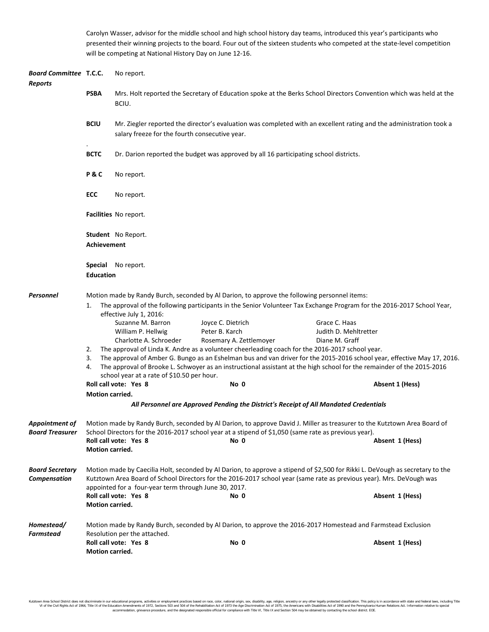Carolyn Wasser, advisor for the middle school and high school history day teams, introduced this year's participants who presented their winning projects to the board. Four out of the sixteen students who competed at the state-level competition will be competing at National History Day on June 12-16.

| <b>Board Committee T.C.C.</b><br><b>Reports</b> |                                                                                                                                                                                                                                                                                                                | No report.                                                                                                                                                                                                                                                                                                             |                                                                |                                                                                                                                                                                                                                                                                                                                                                                                                                                                                                                                                                                                                                            |                 |  |  |
|-------------------------------------------------|----------------------------------------------------------------------------------------------------------------------------------------------------------------------------------------------------------------------------------------------------------------------------------------------------------------|------------------------------------------------------------------------------------------------------------------------------------------------------------------------------------------------------------------------------------------------------------------------------------------------------------------------|----------------------------------------------------------------|--------------------------------------------------------------------------------------------------------------------------------------------------------------------------------------------------------------------------------------------------------------------------------------------------------------------------------------------------------------------------------------------------------------------------------------------------------------------------------------------------------------------------------------------------------------------------------------------------------------------------------------------|-----------------|--|--|
|                                                 | <b>PSBA</b>                                                                                                                                                                                                                                                                                                    | Mrs. Holt reported the Secretary of Education spoke at the Berks School Directors Convention which was held at the<br>BCIU.                                                                                                                                                                                            |                                                                |                                                                                                                                                                                                                                                                                                                                                                                                                                                                                                                                                                                                                                            |                 |  |  |
|                                                 | <b>BCIU</b>                                                                                                                                                                                                                                                                                                    | Mr. Ziegler reported the director's evaluation was completed with an excellent rating and the administration took a<br>salary freeze for the fourth consecutive year.                                                                                                                                                  |                                                                |                                                                                                                                                                                                                                                                                                                                                                                                                                                                                                                                                                                                                                            |                 |  |  |
|                                                 | <b>BCTC</b>                                                                                                                                                                                                                                                                                                    | Dr. Darion reported the budget was approved by all 16 participating school districts.                                                                                                                                                                                                                                  |                                                                |                                                                                                                                                                                                                                                                                                                                                                                                                                                                                                                                                                                                                                            |                 |  |  |
|                                                 | P&C                                                                                                                                                                                                                                                                                                            | No report.                                                                                                                                                                                                                                                                                                             |                                                                |                                                                                                                                                                                                                                                                                                                                                                                                                                                                                                                                                                                                                                            |                 |  |  |
|                                                 | ECC                                                                                                                                                                                                                                                                                                            | No report.                                                                                                                                                                                                                                                                                                             |                                                                |                                                                                                                                                                                                                                                                                                                                                                                                                                                                                                                                                                                                                                            |                 |  |  |
|                                                 |                                                                                                                                                                                                                                                                                                                | Facilities No report.                                                                                                                                                                                                                                                                                                  |                                                                |                                                                                                                                                                                                                                                                                                                                                                                                                                                                                                                                                                                                                                            |                 |  |  |
|                                                 | Student No Report.<br><b>Achievement</b>                                                                                                                                                                                                                                                                       |                                                                                                                                                                                                                                                                                                                        |                                                                |                                                                                                                                                                                                                                                                                                                                                                                                                                                                                                                                                                                                                                            |                 |  |  |
|                                                 | <b>Special</b> No report.<br><b>Education</b>                                                                                                                                                                                                                                                                  |                                                                                                                                                                                                                                                                                                                        |                                                                |                                                                                                                                                                                                                                                                                                                                                                                                                                                                                                                                                                                                                                            |                 |  |  |
| Personnel                                       | 1.<br>2.<br>3.<br>4.                                                                                                                                                                                                                                                                                           | effective July 1, 2016:<br>Suzanne M. Barron<br>William P. Hellwig<br>Charlotte A. Schroeder<br>school year at a rate of \$10.50 per hour.                                                                                                                                                                             | Joyce C. Dietrich<br>Peter B. Karch<br>Rosemary A. Zettlemoyer | Motion made by Randy Burch, seconded by Al Darion, to approve the following personnel items:<br>The approval of the following participants in the Senior Volunteer Tax Exchange Program for the 2016-2017 School Year,<br>Grace C. Haas<br>Judith D. Mehltretter<br>Diane M. Graff<br>The approval of Linda K. Andre as a volunteer cheerleading coach for the 2016-2017 school year.<br>The approval of Amber G. Bungo as an Eshelman bus and van driver for the 2015-2016 school year, effective May 17, 2016.<br>The approval of Brooke L. Schwoyer as an instructional assistant at the high school for the remainder of the 2015-2016 |                 |  |  |
|                                                 | Motion carried.                                                                                                                                                                                                                                                                                                | Roll call vote: Yes 8                                                                                                                                                                                                                                                                                                  | No 0                                                           |                                                                                                                                                                                                                                                                                                                                                                                                                                                                                                                                                                                                                                            | Absent 1 (Hess) |  |  |
|                                                 | All Personnel are Approved Pending the District's Receipt of All Mandated Credentials                                                                                                                                                                                                                          |                                                                                                                                                                                                                                                                                                                        |                                                                |                                                                                                                                                                                                                                                                                                                                                                                                                                                                                                                                                                                                                                            |                 |  |  |
| <b>Board Treasurer</b>                          |                                                                                                                                                                                                                                                                                                                | Appointment of Motion made by Randy Burch, seconded by Al Darion, to approve David J. Miller as treasurer to the Kutztown Area Board of<br>School Directors for the 2016-2017 school year at a stipend of \$1,050 (same rate as previous year).<br>Roll call vote: Yes 8<br>No 0<br>Absent 1 (Hess)<br>Motion carried. |                                                                |                                                                                                                                                                                                                                                                                                                                                                                                                                                                                                                                                                                                                                            |                 |  |  |
| <b>Board Secretary</b><br>Compensation          | Motion made by Caecilia Holt, seconded by Al Darion, to approve a stipend of \$2,500 for Rikki L. DeVough as secretary to the<br>Kutztown Area Board of School Directors for the 2016-2017 school year (same rate as previous year). Mrs. DeVough was<br>appointed for a four-year term through June 30, 2017. |                                                                                                                                                                                                                                                                                                                        |                                                                |                                                                                                                                                                                                                                                                                                                                                                                                                                                                                                                                                                                                                                            |                 |  |  |
|                                                 | Motion carried.                                                                                                                                                                                                                                                                                                | Roll call vote: Yes 8                                                                                                                                                                                                                                                                                                  | No 0                                                           |                                                                                                                                                                                                                                                                                                                                                                                                                                                                                                                                                                                                                                            | Absent 1 (Hess) |  |  |
| Homestead/<br>Farmstead                         | Motion made by Randy Burch, seconded by Al Darion, to approve the 2016-2017 Homestead and Farmstead Exclusion<br>Resolution per the attached.                                                                                                                                                                  |                                                                                                                                                                                                                                                                                                                        |                                                                |                                                                                                                                                                                                                                                                                                                                                                                                                                                                                                                                                                                                                                            |                 |  |  |
|                                                 | Motion carried.                                                                                                                                                                                                                                                                                                | Roll call vote: Yes 8                                                                                                                                                                                                                                                                                                  | No 0                                                           |                                                                                                                                                                                                                                                                                                                                                                                                                                                                                                                                                                                                                                            | Absent 1 (Hess) |  |  |

Kutztown Area School District does not discriminate in our educational programs, activities or employment practices based on race, color, national origin, sex, disability, age, religion, ancestry or any other legally prot